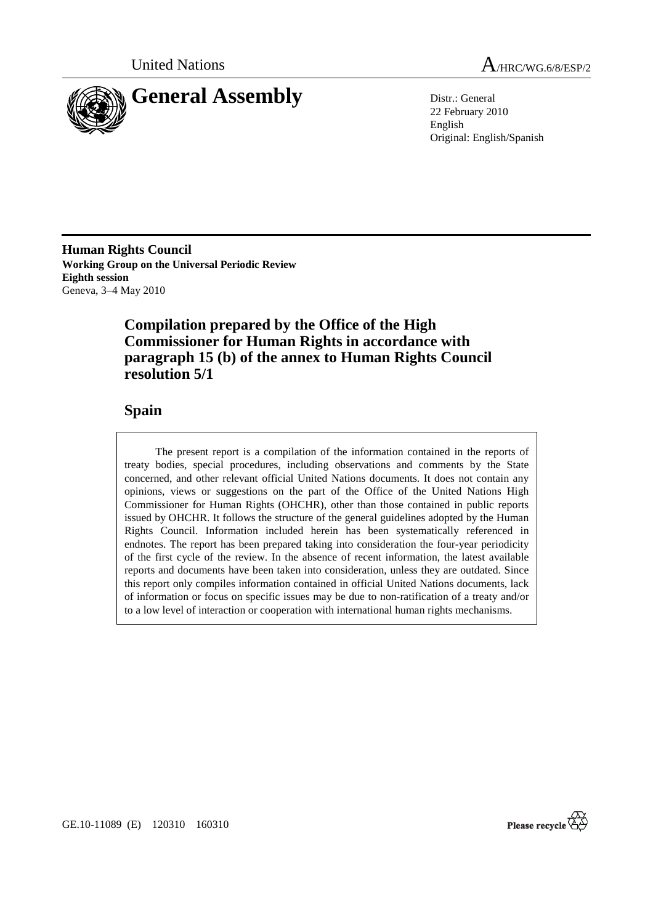



22 February 2010 English Original: English/Spanish

**Human Rights Council Working Group on the Universal Periodic Review Eighth session**  Geneva, 3–4 May 2010

# **Compilation prepared by the Office of the High Commissioner for Human Rights in accordance with paragraph 15 (b) of the annex to Human Rights Council resolution 5/1**

## **Spain**

 The present report is a compilation of the information contained in the reports of treaty bodies, special procedures, including observations and comments by the State concerned, and other relevant official United Nations documents. It does not contain any opinions, views or suggestions on the part of the Office of the United Nations High Commissioner for Human Rights (OHCHR), other than those contained in public reports issued by OHCHR. It follows the structure of the general guidelines adopted by the Human Rights Council. Information included herein has been systematically referenced in endnotes. The report has been prepared taking into consideration the four-year periodicity of the first cycle of the review. In the absence of recent information, the latest available reports and documents have been taken into consideration, unless they are outdated. Since this report only compiles information contained in official United Nations documents, lack of information or focus on specific issues may be due to non-ratification of a treaty and/or to a low level of interaction or cooperation with international human rights mechanisms.

Please recycle  $\overleftrightarrow{C}$ 

GE.10-11089 (E) 120310 160310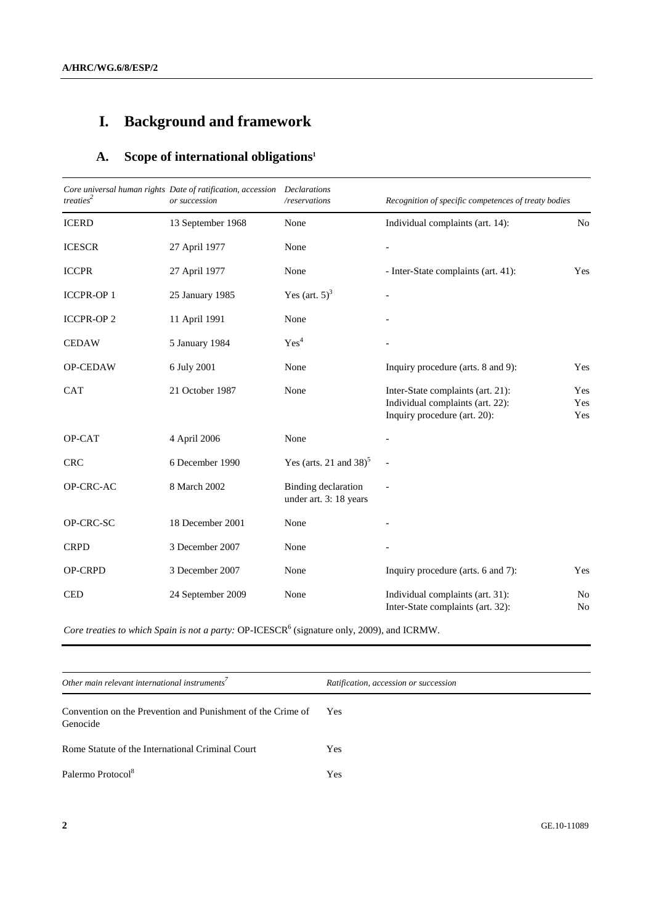# **I. Background and framework**

# **A. Scope of international obligations1**

| $treaties^2$     | Core universal human rights Date of ratification, accession Declarations<br>or succession | /reservations                                        | Recognition of specific competences of treaty bodies                                                  |                      |
|------------------|-------------------------------------------------------------------------------------------|------------------------------------------------------|-------------------------------------------------------------------------------------------------------|----------------------|
| <b>ICERD</b>     | 13 September 1968                                                                         | None                                                 | Individual complaints (art. 14):                                                                      | N <sub>o</sub>       |
| <b>ICESCR</b>    | 27 April 1977                                                                             | None                                                 |                                                                                                       |                      |
| <b>ICCPR</b>     | 27 April 1977                                                                             | None                                                 | - Inter-State complaints (art. 41):                                                                   | Yes                  |
| <b>ICCPR-OP1</b> | 25 January 1985                                                                           | Yes (art. $5^3$ )                                    |                                                                                                       |                      |
| <b>ICCPR-OP2</b> | 11 April 1991                                                                             | None                                                 |                                                                                                       |                      |
| <b>CEDAW</b>     | 5 January 1984                                                                            | $\mathrm{Yes}^4$                                     |                                                                                                       |                      |
| OP-CEDAW         | 6 July 2001                                                                               | None                                                 | Inquiry procedure (arts. 8 and 9):                                                                    | Yes                  |
| <b>CAT</b>       | 21 October 1987                                                                           | None                                                 | Inter-State complaints (art. 21):<br>Individual complaints (art. 22):<br>Inquiry procedure (art. 20): | Yes<br>Yes<br>Yes    |
| OP-CAT           | 4 April 2006                                                                              | None                                                 |                                                                                                       |                      |
| <b>CRC</b>       | 6 December 1990                                                                           | Yes (arts. 21 and $38$ ) <sup>5</sup>                |                                                                                                       |                      |
| OP-CRC-AC        | 8 March 2002                                                                              | <b>Binding</b> declaration<br>under art. 3: 18 years |                                                                                                       |                      |
| OP-CRC-SC        | 18 December 2001                                                                          | None                                                 |                                                                                                       |                      |
| <b>CRPD</b>      | 3 December 2007                                                                           | None                                                 |                                                                                                       |                      |
| OP-CRPD          | 3 December 2007                                                                           | None                                                 | Inquiry procedure (arts. 6 and 7):                                                                    | Yes                  |
| <b>CED</b>       | 24 September 2009                                                                         | None                                                 | Individual complaints (art. 31):<br>Inter-State complaints (art. 32):                                 | No<br>N <sub>o</sub> |

Core treaties to which Spain is not a party: OP-ICESCR<sup>6</sup> (signature only, 2009), and ICRMW.

| Ratification, accession or succession |  |
|---------------------------------------|--|
| <b>Yes</b>                            |  |
| Yes                                   |  |
| Yes                                   |  |
|                                       |  |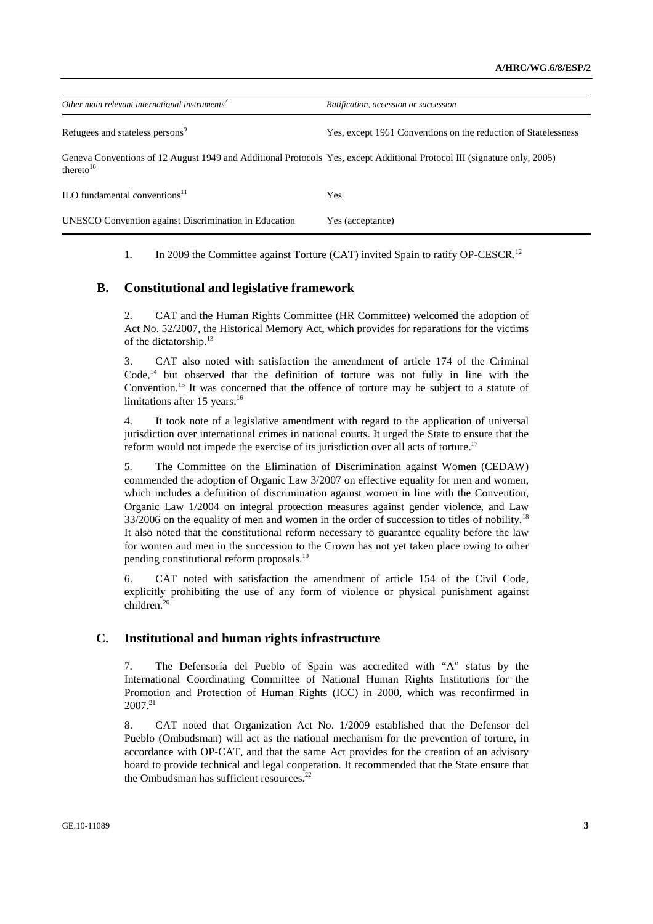| Other main relevant international instruments <sup>7</sup>                                                                               | Ratification, accession or succession                          |
|------------------------------------------------------------------------------------------------------------------------------------------|----------------------------------------------------------------|
| Refugees and stateless persons <sup>9</sup>                                                                                              | Yes, except 1961 Conventions on the reduction of Statelessness |
| Geneva Conventions of 12 August 1949 and Additional Protocols Yes, except Additional Protocol III (signature only, 2005)<br>thereto $10$ |                                                                |
| ILO fundamental conventions $11$                                                                                                         | Yes                                                            |
| <b>UNESCO</b> Convention against Discrimination in Education                                                                             | Yes (acceptance)                                               |

1. In 2009 the Committee against Torture (CAT) invited Spain to ratify OP-CESCR.<sup>12</sup>

### **B. Constitutional and legislative framework**

2. CAT and the Human Rights Committee (HR Committee) welcomed the adoption of Act No. 52/2007, the Historical Memory Act, which provides for reparations for the victims of the dictatorship.<sup>13</sup>

3. CAT also noted with satisfaction the amendment of article 174 of the Criminal  $Code<sub>14</sub>$  but observed that the definition of torture was not fully in line with the Convention.<sup>15</sup> It was concerned that the offence of torture may be subject to a statute of limitations after 15 years.<sup>16</sup>

4. It took note of a legislative amendment with regard to the application of universal jurisdiction over international crimes in national courts. It urged the State to ensure that the reform would not impede the exercise of its jurisdiction over all acts of torture.<sup>17</sup>

5. The Committee on the Elimination of Discrimination against Women (CEDAW) commended the adoption of Organic Law 3/2007 on effective equality for men and women, which includes a definition of discrimination against women in line with the Convention, Organic Law 1/2004 on integral protection measures against gender violence, and Law  $33/2006$  on the equality of men and women in the order of succession to titles of nobility.<sup>18</sup> It also noted that the constitutional reform necessary to guarantee equality before the law for women and men in the succession to the Crown has not yet taken place owing to other pending constitutional reform proposals.<sup>19</sup>

6. CAT noted with satisfaction the amendment of article 154 of the Civil Code, explicitly prohibiting the use of any form of violence or physical punishment against children.20

## **C. Institutional and human rights infrastructure**

7. The Defensoría del Pueblo of Spain was accredited with "A" status by the International Coordinating Committee of National Human Rights Institutions for the Promotion and Protection of Human Rights (ICC) in 2000, which was reconfirmed in 2007.21

8. CAT noted that Organization Act No. 1/2009 established that the Defensor del Pueblo (Ombudsman) will act as the national mechanism for the prevention of torture, in accordance with OP-CAT, and that the same Act provides for the creation of an advisory board to provide technical and legal cooperation. It recommended that the State ensure that the Ombudsman has sufficient resources.<sup>22</sup>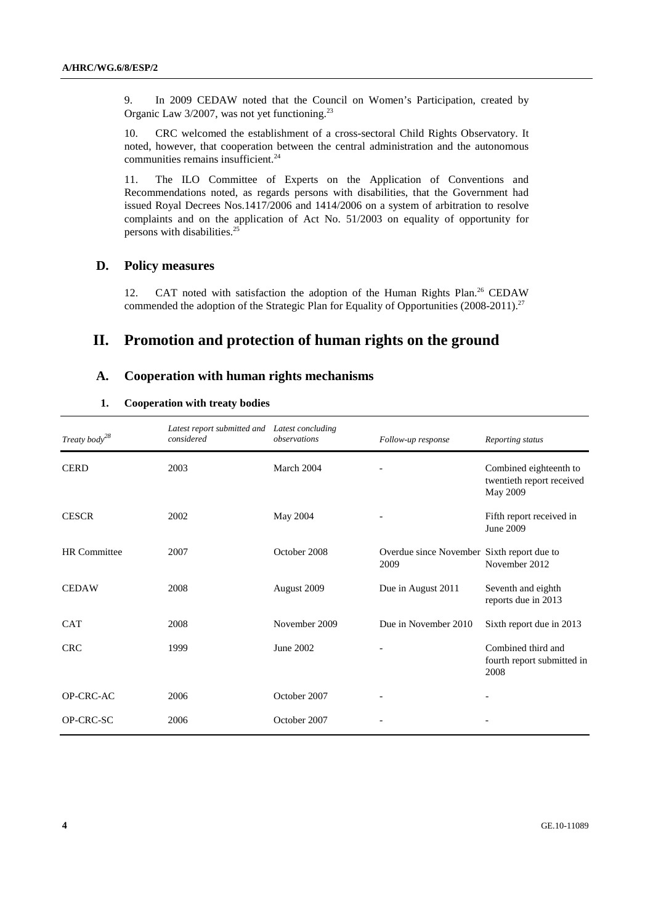9. In 2009 CEDAW noted that the Council on Women's Participation, created by Organic Law 3/2007, was not yet functioning.<sup>23</sup>

10. CRC welcomed the establishment of a cross-sectoral Child Rights Observatory. It noted, however, that cooperation between the central administration and the autonomous communities remains insufficient. $24$ 

11. The ILO Committee of Experts on the Application of Conventions and Recommendations noted, as regards persons with disabilities, that the Government had issued Royal Decrees Nos.1417/2006 and 1414/2006 on a system of arbitration to resolve complaints and on the application of Act No. 51/2003 on equality of opportunity for persons with disabilities.<sup>25</sup>

#### **D. Policy measures**

12. CAT noted with satisfaction the adoption of the Human Rights Plan.<sup>26</sup> CEDAW commended the adoption of the Strategic Plan for Equality of Opportunities (2008-2011).<sup>27</sup>

## **II. Promotion and protection of human rights on the ground**

## **A. Cooperation with human rights mechanisms**

#### **1. Cooperation with treaty bodies**

| Treaty body <sup>28</sup> | Latest report submitted and Latest concluding<br>considered | observations  | Follow-up response                                 | Reporting status                                                       |
|---------------------------|-------------------------------------------------------------|---------------|----------------------------------------------------|------------------------------------------------------------------------|
| <b>CERD</b>               | 2003                                                        | March 2004    |                                                    | Combined eighteenth to<br>twentieth report received<br><b>May 2009</b> |
| <b>CESCR</b>              | 2002                                                        | May 2004      |                                                    | Fifth report received in<br>June 2009                                  |
| HR Committee              | 2007                                                        | October 2008  | Overdue since November Sixth report due to<br>2009 | November 2012                                                          |
| <b>CEDAW</b>              | 2008                                                        | August 2009   | Due in August 2011                                 | Seventh and eighth<br>reports due in 2013                              |
| <b>CAT</b>                | 2008                                                        | November 2009 | Due in November 2010                               | Sixth report due in 2013                                               |
| <b>CRC</b>                | 1999                                                        | June 2002     |                                                    | Combined third and<br>fourth report submitted in<br>2008               |
| OP-CRC-AC                 | 2006                                                        | October 2007  |                                                    |                                                                        |
| OP-CRC-SC                 | 2006                                                        | October 2007  |                                                    |                                                                        |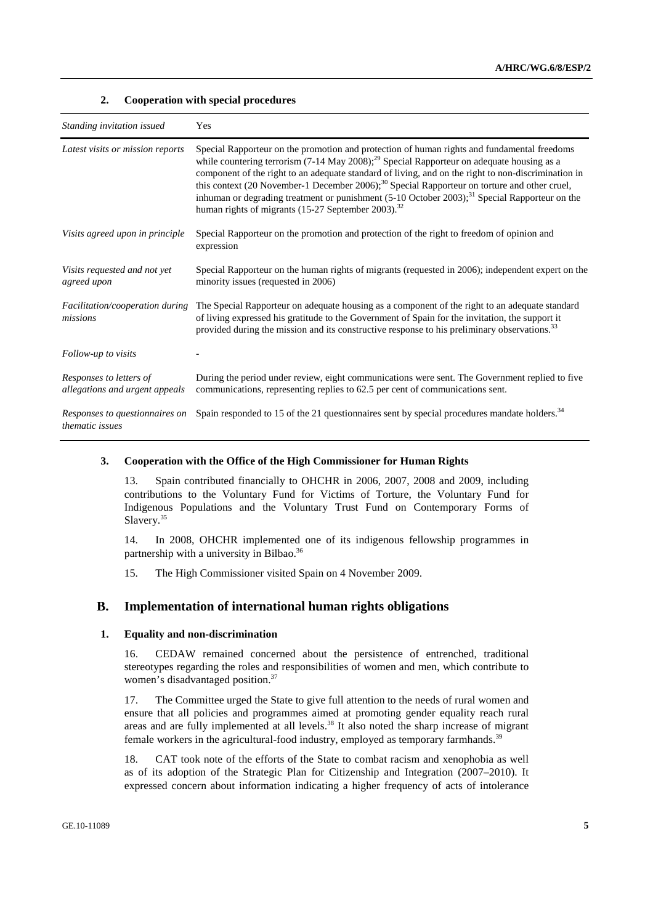#### **2. Cooperation with special procedures**

| Standing invitation issued                                | Yes                                                                                                                                                                                                                                                                                                                                                                                                                                                                                                                                                                                                    |
|-----------------------------------------------------------|--------------------------------------------------------------------------------------------------------------------------------------------------------------------------------------------------------------------------------------------------------------------------------------------------------------------------------------------------------------------------------------------------------------------------------------------------------------------------------------------------------------------------------------------------------------------------------------------------------|
| Latest visits or mission reports                          | Special Rapporteur on the promotion and protection of human rights and fundamental freedoms<br>while countering terrorism (7-14 May 2008); <sup>29</sup> Special Rapporteur on adequate housing as a<br>component of the right to an adequate standard of living, and on the right to non-discrimination in<br>this context (20 November-1 December 2006); <sup>30</sup> Special Rapporteur on torture and other cruel,<br>inhuman or degrading treatment or punishment (5-10 October 2003); <sup>31</sup> Special Rapporteur on the<br>human rights of migrants (15-27 September 2003). <sup>32</sup> |
| Visits agreed upon in principle                           | Special Rapporteur on the promotion and protection of the right to freedom of opinion and<br>expression                                                                                                                                                                                                                                                                                                                                                                                                                                                                                                |
| Visits requested and not yet<br>agreed upon               | Special Rapporteur on the human rights of migrants (requested in 2006); independent expert on the<br>minority issues (requested in 2006)                                                                                                                                                                                                                                                                                                                                                                                                                                                               |
| Facilitation/cooperation during<br>missions               | The Special Rapporteur on adequate housing as a component of the right to an adequate standard<br>of living expressed his gratitude to the Government of Spain for the invitation, the support it<br>provided during the mission and its constructive response to his preliminary observations. <sup>33</sup>                                                                                                                                                                                                                                                                                          |
| Follow-up to visits                                       |                                                                                                                                                                                                                                                                                                                                                                                                                                                                                                                                                                                                        |
| Responses to letters of<br>allegations and urgent appeals | During the period under review, eight communications were sent. The Government replied to five<br>communications, representing replies to 62.5 per cent of communications sent.                                                                                                                                                                                                                                                                                                                                                                                                                        |
| Responses to questionnaires on<br>thematic issues         | Spain responded to 15 of the 21 questionnaires sent by special procedures mandate holders. <sup>34</sup>                                                                                                                                                                                                                                                                                                                                                                                                                                                                                               |

#### **3. Cooperation with the Office of the High Commissioner for Human Rights**

13. Spain contributed financially to OHCHR in 2006, 2007, 2008 and 2009, including contributions to the Voluntary Fund for Victims of Torture, the Voluntary Fund for Indigenous Populations and the Voluntary Trust Fund on Contemporary Forms of Slavery.<sup>35</sup>

14. In 2008, OHCHR implemented one of its indigenous fellowship programmes in partnership with a university in Bilbao.<sup>36</sup>

15. The High Commissioner visited Spain on 4 November 2009.

#### **B. Implementation of international human rights obligations**

#### **1. Equality and non-discrimination**

16. CEDAW remained concerned about the persistence of entrenched, traditional stereotypes regarding the roles and responsibilities of women and men, which contribute to women's disadvantaged position.<sup>37</sup>

17. The Committee urged the State to give full attention to the needs of rural women and ensure that all policies and programmes aimed at promoting gender equality reach rural areas and are fully implemented at all levels.<sup>38</sup> It also noted the sharp increase of migrant female workers in the agricultural-food industry, employed as temporary farmhands.<sup>39</sup>

18. CAT took note of the efforts of the State to combat racism and xenophobia as well as of its adoption of the Strategic Plan for Citizenship and Integration (2007–2010). It expressed concern about information indicating a higher frequency of acts of intolerance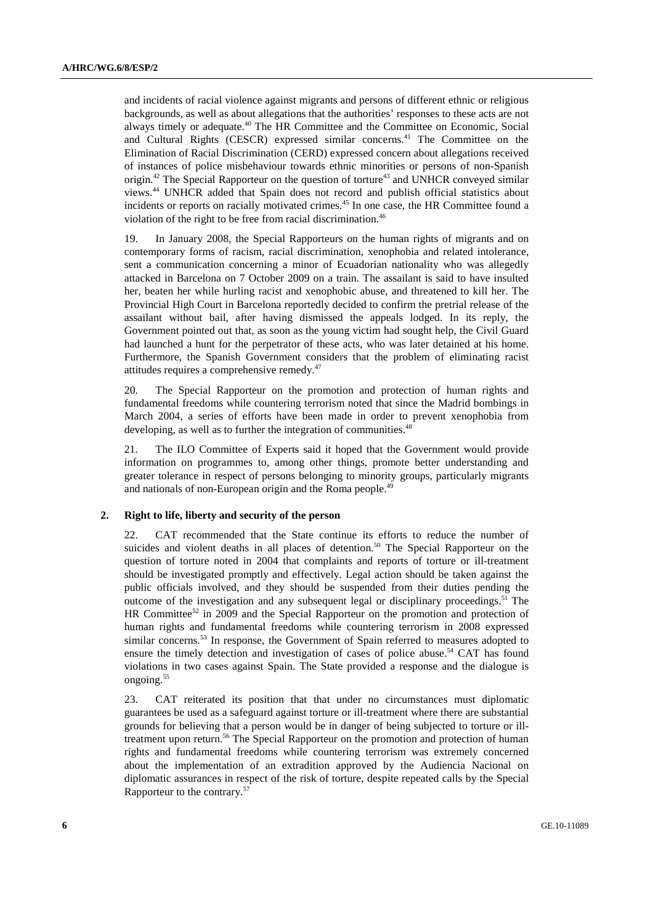and incidents of racial violence against migrants and persons of different ethnic or religious backgrounds, as well as about allegations that the authorities' responses to these acts are not always timely or adequate.40 The HR Committee and the Committee on Economic, Social and Cultural Rights (CESCR) expressed similar concerns.<sup>41</sup> The Committee on the Elimination of Racial Discrimination (CERD) expressed concern about allegations received of instances of police misbehaviour towards ethnic minorities or persons of non-Spanish origin. $42$  The Special Rapporteur on the question of torture $43$  and UNHCR conveyed similar views.44 UNHCR added that Spain does not record and publish official statistics about incidents or reports on racially motivated crimes.<sup>45</sup> In one case, the HR Committee found a violation of the right to be free from racial discrimination.<sup>46</sup>

19. In January 2008, the Special Rapporteurs on the human rights of migrants and on contemporary forms of racism, racial discrimination, xenophobia and related intolerance, sent a communication concerning a minor of Ecuadorian nationality who was allegedly attacked in Barcelona on 7 October 2009 on a train. The assailant is said to have insulted her, beaten her while hurling racist and xenophobic abuse, and threatened to kill her. The Provincial High Court in Barcelona reportedly decided to confirm the pretrial release of the assailant without bail, after having dismissed the appeals lodged. In its reply, the Government pointed out that, as soon as the young victim had sought help, the Civil Guard had launched a hunt for the perpetrator of these acts, who was later detained at his home. Furthermore, the Spanish Government considers that the problem of eliminating racist attitudes requires a comprehensive remedy.<sup>47</sup>

20. The Special Rapporteur on the promotion and protection of human rights and fundamental freedoms while countering terrorism noted that since the Madrid bombings in March 2004, a series of efforts have been made in order to prevent xenophobia from developing, as well as to further the integration of communities.<sup>48</sup>

21. The ILO Committee of Experts said it hoped that the Government would provide information on programmes to, among other things, promote better understanding and greater tolerance in respect of persons belonging to minority groups, particularly migrants and nationals of non-European origin and the Roma people.<sup>49</sup>

#### **2. Right to life, liberty and security of the person**

22. CAT recommended that the State continue its efforts to reduce the number of suicides and violent deaths in all places of detention.<sup>50</sup> The Special Rapporteur on the question of torture noted in 2004 that complaints and reports of torture or ill-treatment should be investigated promptly and effectively. Legal action should be taken against the public officials involved, and they should be suspended from their duties pending the outcome of the investigation and any subsequent legal or disciplinary proceedings.<sup>51</sup> The HR Committee<sup>52</sup> in 2009 and the Special Rapporteur on the promotion and protection of human rights and fundamental freedoms while countering terrorism in 2008 expressed similar concerns.53 In response, the Government of Spain referred to measures adopted to ensure the timely detection and investigation of cases of police abuse.<sup>54</sup> CAT has found violations in two cases against Spain. The State provided a response and the dialogue is ongoing.<sup>55</sup>

23. CAT reiterated its position that that under no circumstances must diplomatic guarantees be used as a safeguard against torture or ill-treatment where there are substantial grounds for believing that a person would be in danger of being subjected to torture or illtreatment upon return.<sup>56</sup> The Special Rapporteur on the promotion and protection of human rights and fundamental freedoms while countering terrorism was extremely concerned about the implementation of an extradition approved by the Audiencia Nacional on diplomatic assurances in respect of the risk of torture, despite repeated calls by the Special Rapporteur to the contrary.57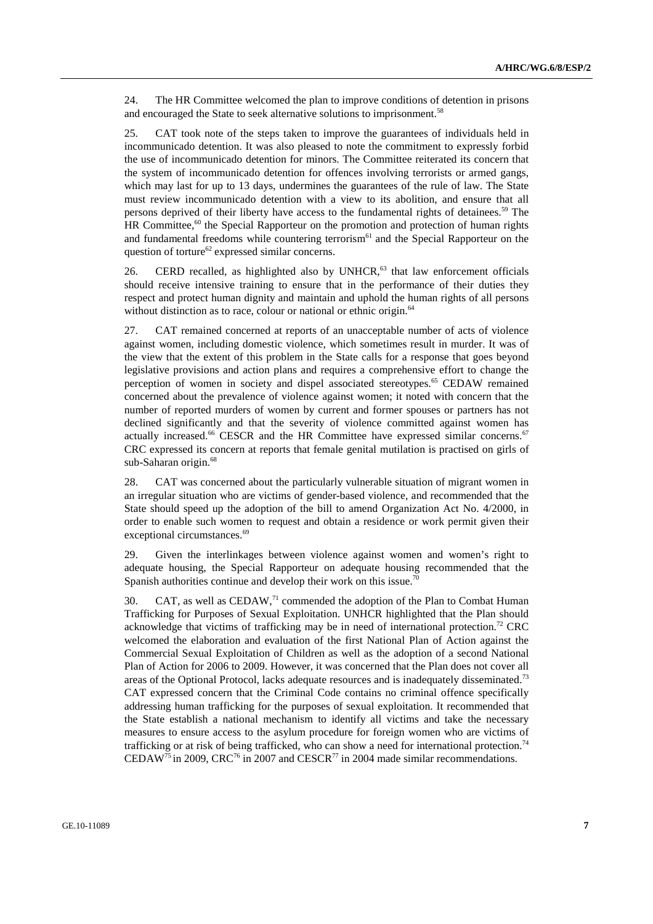24. The HR Committee welcomed the plan to improve conditions of detention in prisons and encouraged the State to seek alternative solutions to imprisonment.<sup>58</sup>

25. CAT took note of the steps taken to improve the guarantees of individuals held in incommunicado detention. It was also pleased to note the commitment to expressly forbid the use of incommunicado detention for minors. The Committee reiterated its concern that the system of incommunicado detention for offences involving terrorists or armed gangs, which may last for up to 13 days, undermines the guarantees of the rule of law. The State must review incommunicado detention with a view to its abolition, and ensure that all persons deprived of their liberty have access to the fundamental rights of detainees.59 The  $HR$  Committee,<sup>60</sup> the Special Rapporteur on the promotion and protection of human rights and fundamental freedoms while countering terrorism<sup>61</sup> and the Special Rapporteur on the question of torture<sup>62</sup> expressed similar concerns.

26. CERD recalled, as highlighted also by  $UNHCR<sub>1</sub><sup>63</sup>$  that law enforcement officials should receive intensive training to ensure that in the performance of their duties they respect and protect human dignity and maintain and uphold the human rights of all persons without distinction as to race, colour or national or ethnic origin.<sup>64</sup>

27. CAT remained concerned at reports of an unacceptable number of acts of violence against women, including domestic violence, which sometimes result in murder. It was of the view that the extent of this problem in the State calls for a response that goes beyond legislative provisions and action plans and requires a comprehensive effort to change the perception of women in society and dispel associated stereotypes.<sup>65</sup> CEDAW remained concerned about the prevalence of violence against women; it noted with concern that the number of reported murders of women by current and former spouses or partners has not declined significantly and that the severity of violence committed against women has actually increased.<sup>66</sup> CESCR and the HR Committee have expressed similar concerns.<sup>67</sup> CRC expressed its concern at reports that female genital mutilation is practised on girls of sub-Saharan origin.<sup>68</sup>

28. CAT was concerned about the particularly vulnerable situation of migrant women in an irregular situation who are victims of gender-based violence, and recommended that the State should speed up the adoption of the bill to amend Organization Act No. 4/2000, in order to enable such women to request and obtain a residence or work permit given their exceptional circumstances.<sup>69</sup>

29. Given the interlinkages between violence against women and women's right to adequate housing, the Special Rapporteur on adequate housing recommended that the Spanish authorities continue and develop their work on this issue.<sup>70</sup>

30. CAT, as well as  $\text{CEDAW}^{71}$  commended the adoption of the Plan to Combat Human Trafficking for Purposes of Sexual Exploitation. UNHCR highlighted that the Plan should acknowledge that victims of trafficking may be in need of international protection.<sup>72</sup> CRC welcomed the elaboration and evaluation of the first National Plan of Action against the Commercial Sexual Exploitation of Children as well as the adoption of a second National Plan of Action for 2006 to 2009. However, it was concerned that the Plan does not cover all areas of the Optional Protocol, lacks adequate resources and is inadequately disseminated.73 CAT expressed concern that the Criminal Code contains no criminal offence specifically addressing human trafficking for the purposes of sexual exploitation. It recommended that the State establish a national mechanism to identify all victims and take the necessary measures to ensure access to the asylum procedure for foreign women who are victims of trafficking or at risk of being trafficked, who can show a need for international protection.<sup>74</sup> CEDAW<sup>75</sup> in 2009, CRC<sup>76</sup> in 2007 and CESCR<sup>77</sup> in 2004 made similar recommendations.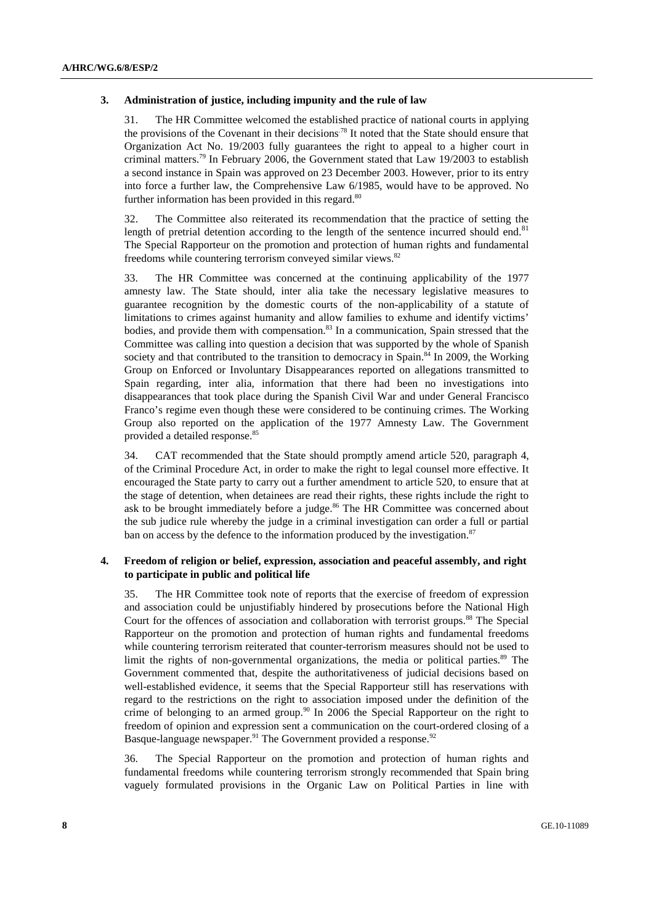#### **3. Administration of justice, including impunity and the rule of law**

31. The HR Committee welcomed the established practice of national courts in applying the provisions of the Covenant in their decisions<sup>78</sup> It noted that the State should ensure that Organization Act No. 19/2003 fully guarantees the right to appeal to a higher court in criminal matters.<sup>79</sup> In February 2006, the Government stated that Law  $19/2003$  to establish a second instance in Spain was approved on 23 December 2003. However, prior to its entry into force a further law, the Comprehensive Law 6/1985, would have to be approved. No further information has been provided in this regard. $80$ 

32. The Committee also reiterated its recommendation that the practice of setting the length of pretrial detention according to the length of the sentence incurred should end. $81$ The Special Rapporteur on the promotion and protection of human rights and fundamental freedoms while countering terrorism conveyed similar views.82

33. The HR Committee was concerned at the continuing applicability of the 1977 amnesty law. The State should, inter alia take the necessary legislative measures to guarantee recognition by the domestic courts of the non-applicability of a statute of limitations to crimes against humanity and allow families to exhume and identify victims' bodies, and provide them with compensation.<sup>83</sup> In a communication, Spain stressed that the Committee was calling into question a decision that was supported by the whole of Spanish society and that contributed to the transition to democracy in Spain.<sup>84</sup> In 2009, the Working Group on Enforced or Involuntary Disappearances reported on allegations transmitted to Spain regarding, inter alia, information that there had been no investigations into disappearances that took place during the Spanish Civil War and under General Francisco Franco's regime even though these were considered to be continuing crimes. The Working Group also reported on the application of the 1977 Amnesty Law. The Government provided a detailed response.<sup>85</sup>

34. CAT recommended that the State should promptly amend article 520, paragraph 4, of the Criminal Procedure Act, in order to make the right to legal counsel more effective. It encouraged the State party to carry out a further amendment to article 520, to ensure that at the stage of detention, when detainees are read their rights, these rights include the right to ask to be brought immediately before a judge. $86$  The HR Committee was concerned about the sub judice rule whereby the judge in a criminal investigation can order a full or partial ban on access by the defence to the information produced by the investigation. $87$ 

#### **4. Freedom of religion or belief, expression, association and peaceful assembly, and right to participate in public and political life**

35. The HR Committee took note of reports that the exercise of freedom of expression and association could be unjustifiably hindered by prosecutions before the National High Court for the offences of association and collaboration with terrorist groups.<sup>88</sup> The Special Rapporteur on the promotion and protection of human rights and fundamental freedoms while countering terrorism reiterated that counter-terrorism measures should not be used to limit the rights of non-governmental organizations, the media or political parties.<sup>89</sup> The Government commented that, despite the authoritativeness of judicial decisions based on well-established evidence, it seems that the Special Rapporteur still has reservations with regard to the restrictions on the right to association imposed under the definition of the crime of belonging to an armed group.<sup>90</sup> In 2006 the Special Rapporteur on the right to freedom of opinion and expression sent a communication on the court-ordered closing of a Basque-language newspaper.<sup>91</sup> The Government provided a response.<sup>92</sup>

36. The Special Rapporteur on the promotion and protection of human rights and fundamental freedoms while countering terrorism strongly recommended that Spain bring vaguely formulated provisions in the Organic Law on Political Parties in line with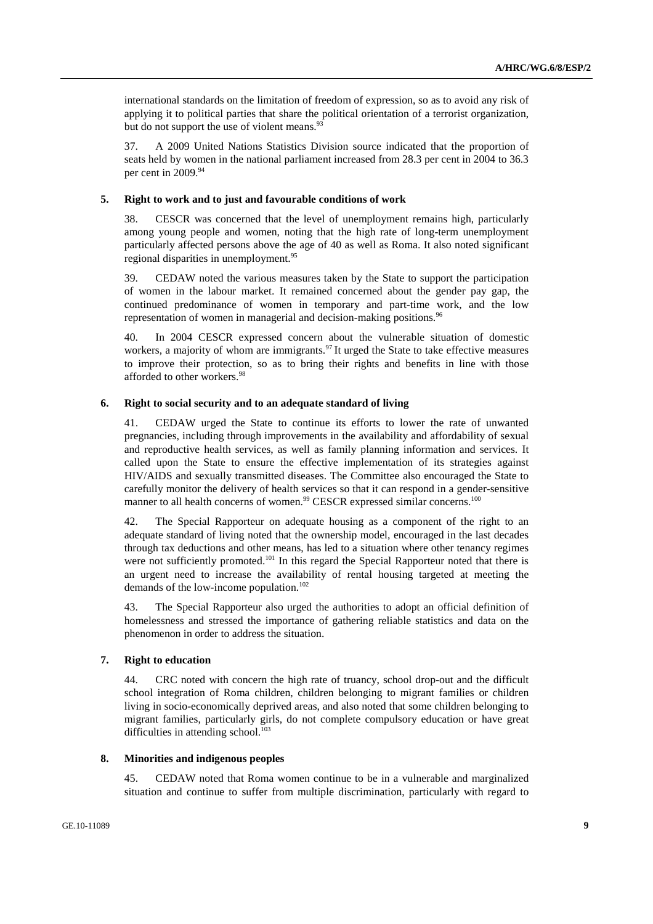international standards on the limitation of freedom of expression, so as to avoid any risk of applying it to political parties that share the political orientation of a terrorist organization, but do not support the use of violent means.<sup>93</sup>

37. A 2009 United Nations Statistics Division source indicated that the proportion of seats held by women in the national parliament increased from 28.3 per cent in 2004 to 36.3 per cent in 2009.<sup>94</sup>

#### **5. Right to work and to just and favourable conditions of work**

38. CESCR was concerned that the level of unemployment remains high, particularly among young people and women, noting that the high rate of long-term unemployment particularly affected persons above the age of 40 as well as Roma. It also noted significant regional disparities in unemployment.<sup>95</sup>

39. CEDAW noted the various measures taken by the State to support the participation of women in the labour market. It remained concerned about the gender pay gap, the continued predominance of women in temporary and part-time work, and the low representation of women in managerial and decision-making positions.<sup>96</sup>

40. In 2004 CESCR expressed concern about the vulnerable situation of domestic workers, a majority of whom are immigrants.  $97$  It urged the State to take effective measures to improve their protection, so as to bring their rights and benefits in line with those afforded to other workers.<sup>98</sup>

#### **6. Right to social security and to an adequate standard of living**

41. CEDAW urged the State to continue its efforts to lower the rate of unwanted pregnancies, including through improvements in the availability and affordability of sexual and reproductive health services, as well as family planning information and services. It called upon the State to ensure the effective implementation of its strategies against HIV/AIDS and sexually transmitted diseases. The Committee also encouraged the State to carefully monitor the delivery of health services so that it can respond in a gender-sensitive manner to all health concerns of women.<sup>99</sup> CESCR expressed similar concerns.<sup>100</sup>

42. The Special Rapporteur on adequate housing as a component of the right to an adequate standard of living noted that the ownership model, encouraged in the last decades through tax deductions and other means, has led to a situation where other tenancy regimes were not sufficiently promoted.<sup>101</sup> In this regard the Special Rapporteur noted that there is an urgent need to increase the availability of rental housing targeted at meeting the demands of the low-income population.<sup>102</sup>

43. The Special Rapporteur also urged the authorities to adopt an official definition of homelessness and stressed the importance of gathering reliable statistics and data on the phenomenon in order to address the situation.

#### **7. Right to education**

44. CRC noted with concern the high rate of truancy, school drop-out and the difficult school integration of Roma children, children belonging to migrant families or children living in socio-economically deprived areas, and also noted that some children belonging to migrant families, particularly girls, do not complete compulsory education or have great difficulties in attending school.<sup>103</sup>

#### **8. Minorities and indigenous peoples**

45. CEDAW noted that Roma women continue to be in a vulnerable and marginalized situation and continue to suffer from multiple discrimination, particularly with regard to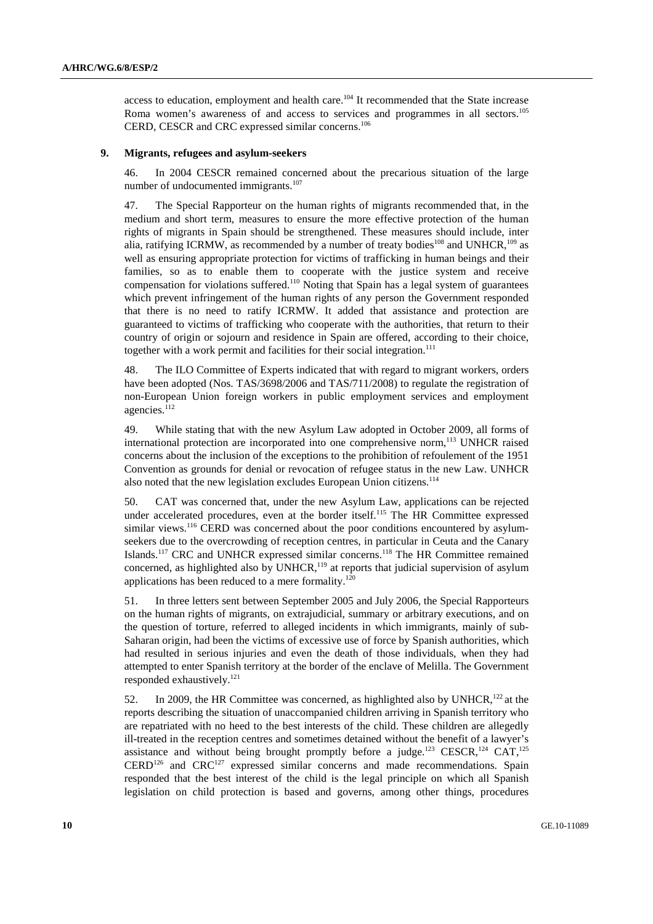access to education, employment and health care.<sup>104</sup> It recommended that the State increase Roma women's awareness of and access to services and programmes in all sectors.<sup>105</sup> CERD, CESCR and CRC expressed similar concerns.<sup>106</sup>

#### **9. Migrants, refugees and asylum-seekers**

46. In 2004 CESCR remained concerned about the precarious situation of the large number of undocumented immigrants.<sup>107</sup>

47. The Special Rapporteur on the human rights of migrants recommended that, in the medium and short term, measures to ensure the more effective protection of the human rights of migrants in Spain should be strengthened. These measures should include, inter alia, ratifying ICRMW, as recommended by a number of treaty bodies<sup>108</sup> and UNHCR,<sup>109</sup> as well as ensuring appropriate protection for victims of trafficking in human beings and their families, so as to enable them to cooperate with the justice system and receive compensation for violations suffered.<sup>110</sup> Noting that Spain has a legal system of guarantees which prevent infringement of the human rights of any person the Government responded that there is no need to ratify ICRMW. It added that assistance and protection are guaranteed to victims of trafficking who cooperate with the authorities, that return to their country of origin or sojourn and residence in Spain are offered, according to their choice, together with a work permit and facilities for their social integration.<sup>111</sup>

48. The ILO Committee of Experts indicated that with regard to migrant workers, orders have been adopted (Nos. TAS/3698/2006 and TAS/711/2008) to regulate the registration of non-European Union foreign workers in public employment services and employment agencies. $112$ 

49. While stating that with the new Asylum Law adopted in October 2009, all forms of international protection are incorporated into one comprehensive norm,<sup>113</sup> UNHCR raised concerns about the inclusion of the exceptions to the prohibition of refoulement of the 1951 Convention as grounds for denial or revocation of refugee status in the new Law. UNHCR also noted that the new legislation excludes European Union citizens.<sup>114</sup>

50. CAT was concerned that, under the new Asylum Law, applications can be rejected under accelerated procedures, even at the border itself.<sup>115</sup> The HR Committee expressed similar views.<sup>116</sup> CERD was concerned about the poor conditions encountered by asylumseekers due to the overcrowding of reception centres, in particular in Ceuta and the Canary Islands.<sup>117</sup> CRC and UNHCR expressed similar concerns.<sup>118</sup> The HR Committee remained concerned, as highlighted also by UNHCR,<sup>119</sup> at reports that judicial supervision of asylum applications has been reduced to a mere formality.<sup>120</sup>

51. In three letters sent between September 2005 and July 2006, the Special Rapporteurs on the human rights of migrants, on extrajudicial, summary or arbitrary executions, and on the question of torture, referred to alleged incidents in which immigrants, mainly of sub-Saharan origin, had been the victims of excessive use of force by Spanish authorities, which had resulted in serious injuries and even the death of those individuals, when they had attempted to enter Spanish territory at the border of the enclave of Melilla. The Government responded exhaustively.121

52. In 2009, the HR Committee was concerned, as highlighted also by UNHCR,<sup>122</sup> at the reports describing the situation of unaccompanied children arriving in Spanish territory who are repatriated with no heed to the best interests of the child. These children are allegedly ill-treated in the reception centres and sometimes detained without the benefit of a lawyer's assistance and without being brought promptly before a judge.<sup>123</sup> CESCR,<sup>124</sup> CAT,<sup>125</sup>  $CERD<sup>126</sup>$  and  $CRC<sup>127</sup>$  expressed similar concerns and made recommendations. Spain responded that the best interest of the child is the legal principle on which all Spanish legislation on child protection is based and governs, among other things, procedures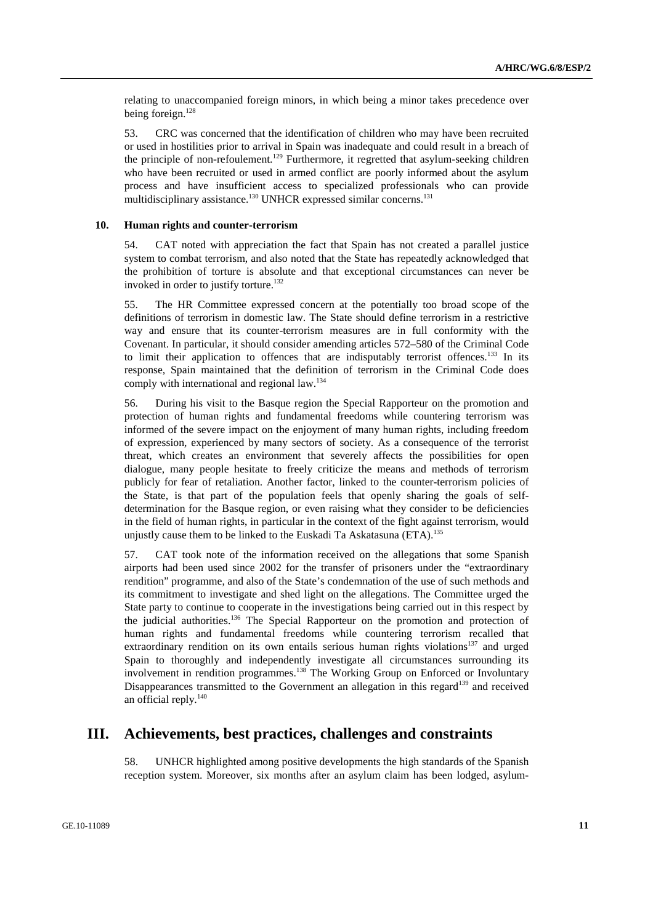relating to unaccompanied foreign minors, in which being a minor takes precedence over being foreign.<sup>128</sup>

53. CRC was concerned that the identification of children who may have been recruited or used in hostilities prior to arrival in Spain was inadequate and could result in a breach of the principle of non-refoulement.<sup>129</sup> Furthermore, it regretted that asylum-seeking children who have been recruited or used in armed conflict are poorly informed about the asylum process and have insufficient access to specialized professionals who can provide multidisciplinary assistance.<sup>130</sup> UNHCR expressed similar concerns.<sup>131</sup>

#### **10. Human rights and counter-terrorism**

54. CAT noted with appreciation the fact that Spain has not created a parallel justice system to combat terrorism, and also noted that the State has repeatedly acknowledged that the prohibition of torture is absolute and that exceptional circumstances can never be invoked in order to justify torture.<sup>132</sup>

55. The HR Committee expressed concern at the potentially too broad scope of the definitions of terrorism in domestic law. The State should define terrorism in a restrictive way and ensure that its counter-terrorism measures are in full conformity with the Covenant. In particular, it should consider amending articles 572–580 of the Criminal Code to limit their application to offences that are indisputably terrorist offences.<sup>133</sup> In its response, Spain maintained that the definition of terrorism in the Criminal Code does comply with international and regional law.134

56. During his visit to the Basque region the Special Rapporteur on the promotion and protection of human rights and fundamental freedoms while countering terrorism was informed of the severe impact on the enjoyment of many human rights, including freedom of expression, experienced by many sectors of society. As a consequence of the terrorist threat, which creates an environment that severely affects the possibilities for open dialogue, many people hesitate to freely criticize the means and methods of terrorism publicly for fear of retaliation. Another factor, linked to the counter-terrorism policies of the State, is that part of the population feels that openly sharing the goals of selfdetermination for the Basque region, or even raising what they consider to be deficiencies in the field of human rights, in particular in the context of the fight against terrorism, would unjustly cause them to be linked to the Euskadi Ta Askatasuna (ETA).<sup>135</sup>

57. CAT took note of the information received on the allegations that some Spanish airports had been used since 2002 for the transfer of prisoners under the "extraordinary rendition" programme, and also of the State's condemnation of the use of such methods and its commitment to investigate and shed light on the allegations. The Committee urged the State party to continue to cooperate in the investigations being carried out in this respect by the judicial authorities.136 The Special Rapporteur on the promotion and protection of human rights and fundamental freedoms while countering terrorism recalled that extraordinary rendition on its own entails serious human rights violations<sup>137</sup> and urged Spain to thoroughly and independently investigate all circumstances surrounding its involvement in rendition programmes.<sup>138</sup> The Working Group on Enforced or Involuntary Disappearances transmitted to the Government an allegation in this regard<sup>139</sup> and received an official reply.<sup>140</sup>

## **III. Achievements, best practices, challenges and constraints**

58. UNHCR highlighted among positive developments the high standards of the Spanish reception system. Moreover, six months after an asylum claim has been lodged, asylum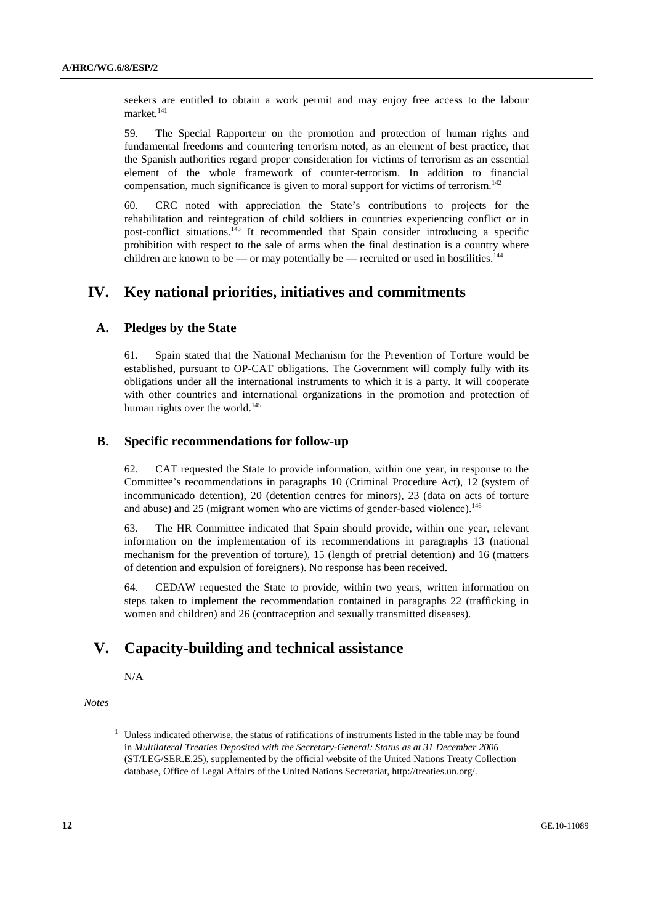seekers are entitled to obtain a work permit and may enjoy free access to the labour market.<sup>141</sup>

59. The Special Rapporteur on the promotion and protection of human rights and fundamental freedoms and countering terrorism noted, as an element of best practice, that the Spanish authorities regard proper consideration for victims of terrorism as an essential element of the whole framework of counter-terrorism. In addition to financial compensation, much significance is given to moral support for victims of terrorism.<sup>142</sup>

60. CRC noted with appreciation the State's contributions to projects for the rehabilitation and reintegration of child soldiers in countries experiencing conflict or in post-conflict situations.143 It recommended that Spain consider introducing a specific prohibition with respect to the sale of arms when the final destination is a country where children are known to be — or may potentially be — recruited or used in hostilities.<sup>144</sup>

# **IV. Key national priorities, initiatives and commitments**

## **A. Pledges by the State**

61. Spain stated that the National Mechanism for the Prevention of Torture would be established, pursuant to OP-CAT obligations. The Government will comply fully with its obligations under all the international instruments to which it is a party. It will cooperate with other countries and international organizations in the promotion and protection of human rights over the world. $145$ 

## **B. Specific recommendations for follow-up**

62. CAT requested the State to provide information, within one year, in response to the Committee's recommendations in paragraphs 10 (Criminal Procedure Act), 12 (system of incommunicado detention), 20 (detention centres for minors), 23 (data on acts of torture and abuse) and 25 (migrant women who are victims of gender-based violence).<sup>146</sup>

63. The HR Committee indicated that Spain should provide, within one year, relevant information on the implementation of its recommendations in paragraphs 13 (national mechanism for the prevention of torture), 15 (length of pretrial detention) and 16 (matters of detention and expulsion of foreigners). No response has been received.

64. CEDAW requested the State to provide, within two years, written information on steps taken to implement the recommendation contained in paragraphs 22 (trafficking in women and children) and 26 (contraception and sexually transmitted diseases).

# **V. Capacity-building and technical assistance**

N/A

 *Notes* 

<sup>&</sup>lt;sup>1</sup> Unless indicated otherwise, the status of ratifications of instruments listed in the table may be found in *Multilateral Treaties Deposited with the Secretary-General: Status as at 31 December 2006* (ST/LEG/SER.E.25), supplemented by the official website of the United Nations Treaty Collection database, Office of Legal Affairs of the United Nations Secretariat, http://treaties.un.org/.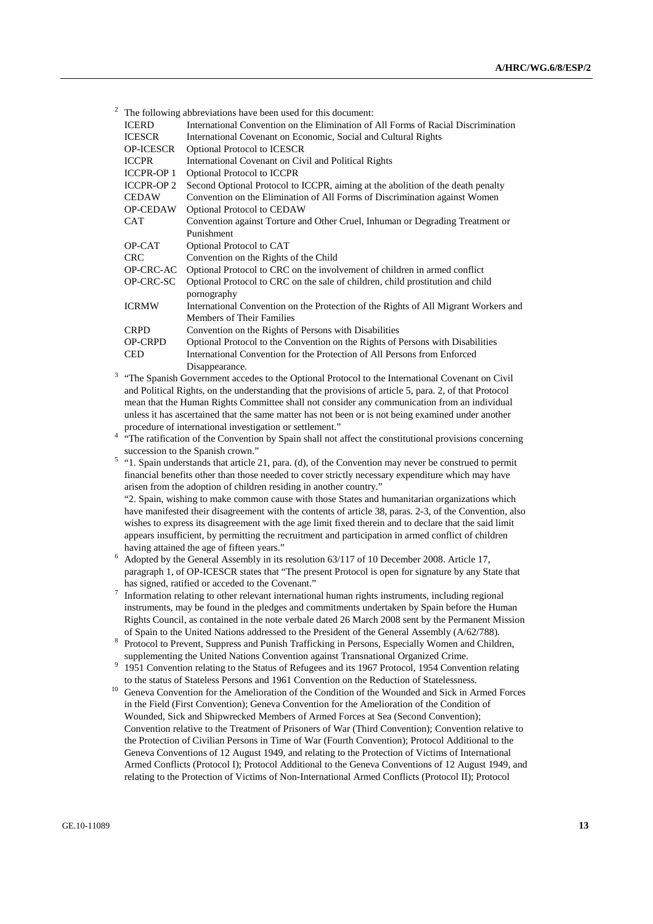|                                                                                                                                | The following abbreviations have been used for this document: |                                                                                     |  |
|--------------------------------------------------------------------------------------------------------------------------------|---------------------------------------------------------------|-------------------------------------------------------------------------------------|--|
| <b>ICERD</b>                                                                                                                   |                                                               | International Convention on the Elimination of All Forms of Racial Discrimination   |  |
|                                                                                                                                | <b>ICESCR</b>                                                 | International Covenant on Economic, Social and Cultural Rights                      |  |
|                                                                                                                                | <b>OP-ICESCR</b>                                              | <b>Optional Protocol to ICESCR</b>                                                  |  |
| <b>ICCPR</b><br>International Covenant on Civil and Political Rights                                                           |                                                               |                                                                                     |  |
| <b>ICCPR-OP 1</b><br><b>Optional Protocol to ICCPR</b>                                                                         |                                                               |                                                                                     |  |
|                                                                                                                                | <b>ICCPR-OP 2</b>                                             | Second Optional Protocol to ICCPR, aiming at the abolition of the death penalty     |  |
| <b>CEDAW</b>                                                                                                                   |                                                               | Convention on the Elimination of All Forms of Discrimination against Women          |  |
|                                                                                                                                | <b>OP-CEDAW</b>                                               | <b>Optional Protocol to CEDAW</b>                                                   |  |
|                                                                                                                                | CAT                                                           | Convention against Torture and Other Cruel, Inhuman or Degrading Treatment or       |  |
| Punishment                                                                                                                     |                                                               |                                                                                     |  |
|                                                                                                                                | OP-CAT                                                        | Optional Protocol to CAT                                                            |  |
| Convention on the Rights of the Child<br><b>CRC</b>                                                                            |                                                               |                                                                                     |  |
|                                                                                                                                | OP-CRC-AC                                                     | Optional Protocol to CRC on the involvement of children in armed conflict           |  |
| OP-CRC-SC                                                                                                                      |                                                               | Optional Protocol to CRC on the sale of children, child prostitution and child      |  |
| pornography                                                                                                                    |                                                               |                                                                                     |  |
|                                                                                                                                | <b>ICRMW</b>                                                  | International Convention on the Protection of the Rights of All Migrant Workers and |  |
| Members of Their Families                                                                                                      |                                                               |                                                                                     |  |
|                                                                                                                                | <b>CRPD</b>                                                   | Convention on the Rights of Persons with Disabilities                               |  |
|                                                                                                                                | <b>OP-CRPD</b>                                                | Optional Protocol to the Convention on the Rights of Persons with Disabilities      |  |
|                                                                                                                                | <b>CED</b>                                                    | International Convention for the Protection of All Persons from Enforced            |  |
| Disappearance.<br><sup>3</sup> "The Spanish Government accedes to the Optional Protocol to the International Covenant on Civil |                                                               |                                                                                     |  |

- and Political Rights, on the understanding that the provisions of article 5, para. 2, of that Protocol mean that the Human Rights Committee shall not consider any communication from an individual unless it has ascertained that the same matter has not been or is not being examined under another
- procedure of international investigation or settlement."<br>
<sup>4</sup> "The ratification of the Convention by Spain shall not affect the constitutional provisions concerning
- succession to the Spanish crown."<br>
<sup>5</sup> "1. Spain understands that article 21, para. (d), of the Convention may never be construed to permit financial benefits other than those needed to cover strictly necessary expenditure which may have arisen from the adoption of children residing in another country."

 "2. Spain, wishing to make common cause with those States and humanitarian organizations which have manifested their disagreement with the contents of article 38, paras. 2-3, of the Convention, also wishes to express its disagreement with the age limit fixed therein and to declare that the said limit appears insufficient, by permitting the recruitment and participation in armed conflict of children

- having attained the age of fifteen years."<br>
<sup>6</sup> Adopted by the General Assembly in its resolution 63/117 of 10 December 2008. Article 17, paragraph 1, of OP-ICESCR states that "The present Protocol is open for signature by any State that
- has signed, ratified or acceded to the Covenant."<br><sup>7</sup> Information relating to other relevant international human rights instruments, including regional instruments, may be found in the pledges and commitments undertaken by Spain before the Human Rights Council, as contained in the note verbale dated 26 March 2008 sent by the Permanent Mission of Spain to the United Nations addressed to the President of the General Assembly (A/62/788).
- Protocol to Prevent, Suppress and Punish Trafficking in Persons, Especially Women and Children,
- supplementing the United Nations Convention against Transnational Organized Crime.<br><sup>9</sup> 1951 Convention relating to the Status of Refugees and its 1967 Protocol, 1954 Convention relating
- to the status of Stateless Persons and 1961 Convention on the Reduction of Statelessness.<br><sup>10</sup> Geneva Convention for the Amelioration of the Condition of the Wounded and Sick in Armed Forces in the Field (First Convention); Geneva Convention for the Amelioration of the Condition of Wounded, Sick and Shipwrecked Members of Armed Forces at Sea (Second Convention); Convention relative to the Treatment of Prisoners of War (Third Convention); Convention relative to the Protection of Civilian Persons in Time of War (Fourth Convention); Protocol Additional to the Geneva Conventions of 12 August 1949, and relating to the Protection of Victims of International Armed Conflicts (Protocol I); Protocol Additional to the Geneva Conventions of 12 August 1949, and relating to the Protection of Victims of Non-International Armed Conflicts (Protocol II); Protocol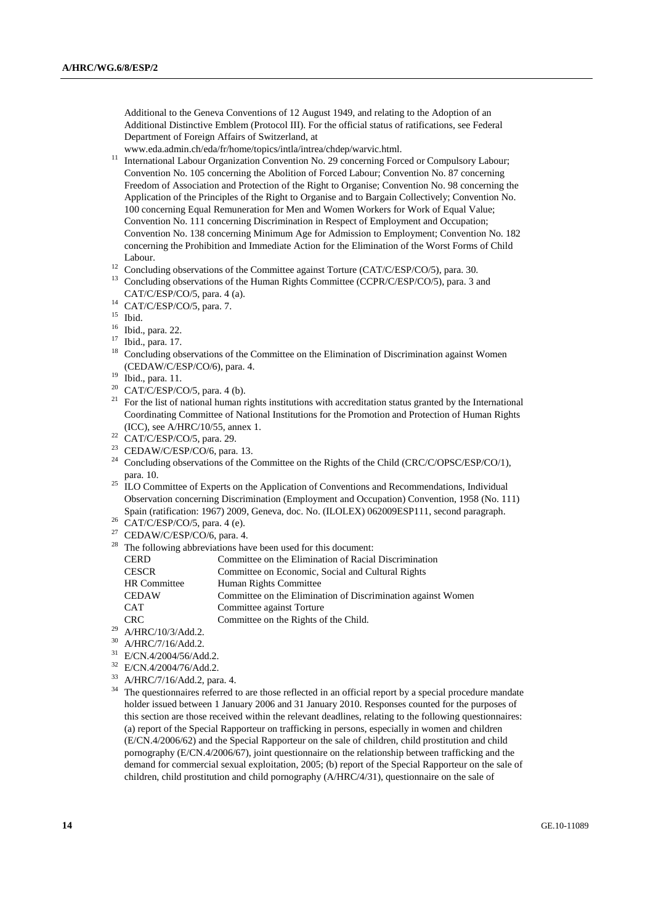Additional to the Geneva Conventions of 12 August 1949, and relating to the Adoption of an Additional Distinctive Emblem (Protocol III). For the official status of ratifications, see Federal Department of Foreign Affairs of Switzerland, at

www.eda.admin.ch/eda/fr/home/topics/intla/intrea/chdep/warvic.html.<br><sup>11</sup> International Labour Organization Convention No. 29 concerning Forced or Compulsory Labour; Convention No. 105 concerning the Abolition of Forced Labour; Convention No. 87 concerning Freedom of Association and Protection of the Right to Organise; Convention No. 98 concerning the Application of the Principles of the Right to Organise and to Bargain Collectively; Convention No. 100 concerning Equal Remuneration for Men and Women Workers for Work of Equal Value; Convention No. 111 concerning Discrimination in Respect of Employment and Occupation; Convention No. 138 concerning Minimum Age for Admission to Employment; Convention No. 182 concerning the Prohibition and Immediate Action for the Elimination of the Worst Forms of Child Labour. 12 Concluding observations of the Committee against Torture (CAT/C/ESP/CO/5), para. 30.

- 
- <sup>13</sup> Concluding observations of the Human Rights Committee (CCPR/C/ESP/CO/5), para. 3 and CAT/C/ESP/CO/5, para. 4 (a).
- $14$  CAT/C/ESP/CO/5, para. 7.
- 15 Ibid.
- 16 Ibid., para. 22.
- 17 Ibid., para. 17.
- 18 Concluding observations of the Committee on the Elimination of Discrimination against Women (CEDAW/C/ESP/CO/6), para. 4.<br>
<sup>19</sup> Ibid., para. 11.<br>
<sup>20</sup> CAT/C/ESP/CO/5, para. 4.(b)
- 
- CAT/C/ESP/CO/5, para. 4 (b).
- <sup>21</sup> For the list of national human rights institutions with accreditation status granted by the International Coordinating Committee of National Institutions for the Promotion and Protection of Human Rights (ICC), see A/HRC/10/55, annex 1. 22 CAT/C/ESP/CO/5, para. 29.
- 
- <sup>23</sup> CEDAW/C/ESP/CO/6, para. 13.<br><sup>24</sup> Canalysting absenting a fitte 6
- Concluding observations of the Committee on the Rights of the Child (CRC/C/OPSC/ESP/CO/1), para. 10.
- <sup>25</sup> ILO Committee of Experts on the Application of Conventions and Recommendations, Individual Observation concerning Discrimination (Employment and Occupation) Convention, 1958 (No. 111) Spain (ratification: 1967) 2009, Geneva, doc. No. (ILOLEX) 062009ESP111, second paragraph.<br><sup>26</sup> CAT/C/ESP/CO/5, para. 4 (e).
- 
- $27$  CEDAW/C/ESP/CO/6, para. 4.
- <sup>28</sup> The following abbreviations have been used for this document:

|    | <b>CERD</b>         | Committee on the Elimination of Racial Discrimination        |
|----|---------------------|--------------------------------------------------------------|
|    | <b>CESCR</b>        | Committee on Economic, Social and Cultural Rights            |
|    | <b>HR</b> Committee | Human Rights Committee                                       |
|    | <b>CEDAW</b>        | Committee on the Elimination of Discrimination against Women |
|    | <b>CAT</b>          | Committee against Torture                                    |
|    | CRC.                | Committee on the Rights of the Child.                        |
| 29 | A/HRC/10/3/Add.2.   |                                                              |

- 30 A/HRC/7/16/Add.2.
- 
- $31$  E/CN.4/2004/56/Add.2.
- $^{32}$  E/CN.4/2004/76/Add.2.<br> $^{33}$  A/HBC/7/16/Add.2.
- $^{33}$  A/HRC/7/16/Add.2, para. 4.<br> $^{34}$  The questionneires referred t
- The questionnaires referred to are those reflected in an official report by a special procedure mandate holder issued between 1 January 2006 and 31 January 2010. Responses counted for the purposes of this section are those received within the relevant deadlines, relating to the following questionnaires: (a) report of the Special Rapporteur on trafficking in persons, especially in women and children (E/CN.4/2006/62) and the Special Rapporteur on the sale of children, child prostitution and child pornography (E/CN.4/2006/67), joint questionnaire on the relationship between trafficking and the demand for commercial sexual exploitation, 2005; (b) report of the Special Rapporteur on the sale of children, child prostitution and child pornography (A/HRC/4/31), questionnaire on the sale of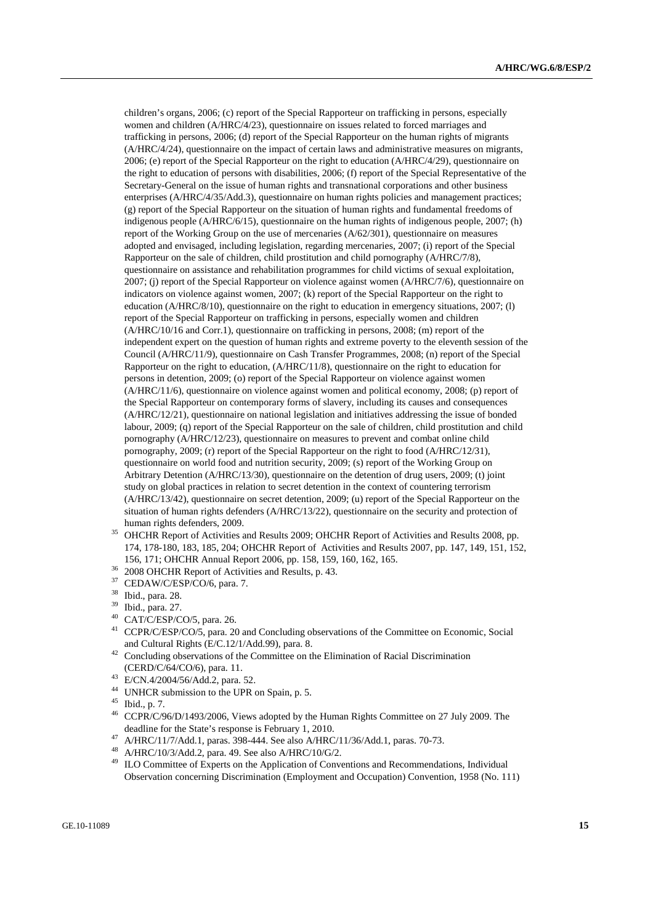children's organs, 2006; (c) report of the Special Rapporteur on trafficking in persons, especially women and children (A/HRC/4/23), questionnaire on issues related to forced marriages and trafficking in persons, 2006; (d) report of the Special Rapporteur on the human rights of migrants (A/HRC/4/24), questionnaire on the impact of certain laws and administrative measures on migrants, 2006; (e) report of the Special Rapporteur on the right to education (A/HRC/4/29), questionnaire on the right to education of persons with disabilities, 2006; (f) report of the Special Representative of the Secretary-General on the issue of human rights and transnational corporations and other business enterprises (A/HRC/4/35/Add.3), questionnaire on human rights policies and management practices; (g) report of the Special Rapporteur on the situation of human rights and fundamental freedoms of indigenous people (A/HRC/6/15), questionnaire on the human rights of indigenous people, 2007; (h) report of the Working Group on the use of mercenaries (A/62/301), questionnaire on measures adopted and envisaged, including legislation, regarding mercenaries, 2007; (i) report of the Special Rapporteur on the sale of children, child prostitution and child pornography (A/HRC/7/8), questionnaire on assistance and rehabilitation programmes for child victims of sexual exploitation, 2007; (j) report of the Special Rapporteur on violence against women (A/HRC/7/6), questionnaire on indicators on violence against women, 2007; (k) report of the Special Rapporteur on the right to education (A/HRC/8/10), questionnaire on the right to education in emergency situations, 2007; (l) report of the Special Rapporteur on trafficking in persons, especially women and children (A/HRC/10/16 and Corr.1), questionnaire on trafficking in persons, 2008; (m) report of the independent expert on the question of human rights and extreme poverty to the eleventh session of the Council (A/HRC/11/9), questionnaire on Cash Transfer Programmes, 2008; (n) report of the Special Rapporteur on the right to education, (A/HRC/11/8), questionnaire on the right to education for persons in detention, 2009; (o) report of the Special Rapporteur on violence against women (A/HRC/11/6), questionnaire on violence against women and political economy, 2008; (p) report of the Special Rapporteur on contemporary forms of slavery, including its causes and consequences (A/HRC/12/21), questionnaire on national legislation and initiatives addressing the issue of bonded labour, 2009; (q) report of the Special Rapporteur on the sale of children, child prostitution and child pornography (A/HRC/12/23), questionnaire on measures to prevent and combat online child pornography, 2009; (r) report of the Special Rapporteur on the right to food (A/HRC/12/31), questionnaire on world food and nutrition security, 2009; (s) report of the Working Group on Arbitrary Detention (A/HRC/13/30), questionnaire on the detention of drug users, 2009; (t) joint study on global practices in relation to secret detention in the context of countering terrorism (A/HRC/13/42), questionnaire on secret detention, 2009; (u) report of the Special Rapporteur on the situation of human rights defenders (A/HRC/13/22), questionnaire on the security and protection of

- human rights defenders, 2009.<br><sup>35</sup> OHCHR Report of Activities and Results 2009; OHCHR Report of Activities and Results 2008, pp. 174, 178-180, 183, 185, 204; OHCHR Report of Activities and Results 2007, pp. 147, 149, 151, 152, 156, 171; OHCHR Annual Report 2006, pp. 158, 159, 160, 162, 165. 36 2008 OHCHR Report of Activities and Results, p. 43.
- 
- 37 CEDAW/C/ESP/CO/6, para. 7.
- 38 Ibid., para. 28.
- 39 Ibid., para. 27.
- 40 CAT/C/ESP/CO/5, para. 26.
- <sup>41</sup> CCPR/C/ESP/CO/5, para. 20 and Concluding observations of the Committee on Economic, Social
- and Cultural Rights (E/C.12/1/Add.99), para. 8.<br><sup>42</sup> Concluding observations of the Committee on the Elimination of Racial Discrimination (CERD/C/64/CO/6), para. 11. 43 E/CN.4/2004/56/Add.2, para. 52.
- 
- <sup>44</sup> UNHCR submission to the UPR on Spain, p. 5.
- $^{45}$  Ibid., p. 7.<br><sup>46</sup> CCDP/C/0
- 46 CCPR/C/96/D/1493/2006, Views adopted by the Human Rights Committee on 27 July 2009. The deadline for the State's response is February 1, 2010.<br>
<sup>47</sup> A/HRC/11/7/Add.1, paras. 398-444. See also A/HRC/11/36/Add.1, paras. 70-73.<br>
<sup>48</sup> A/HRC/10/2/Add.2, paras. 40, See also A/HRC/10/C/2
- 
- <sup>48</sup> A/HRC/10/3/Add.2, para. 49. See also A/HRC/10/G/2.<br><sup>49</sup> II O Committee of Experts on the Application of Conve
- 49 ILO Committee of Experts on the Application of Conventions and Recommendations, Individual Observation concerning Discrimination (Employment and Occupation) Convention, 1958 (No. 111)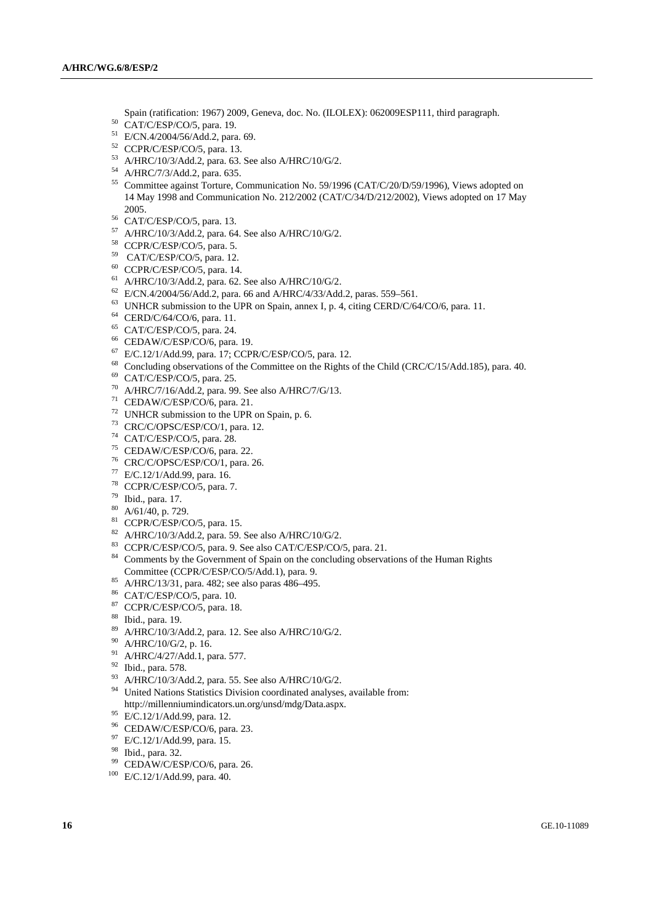Spain (ratification: 1967) 2009, Geneva, doc. No. (ILOLEX): 062009ESP111, third paragraph.<br>
<sup>50</sup> CAT/C/ESP/CO/5, para. 19.

- 
- 51 E/CN.4/2004/56/Add.2, para. 69.
- 52 CCPR/C/ESP/CO/5, para. 13.
- 53 A/HRC/10/3/Add.2, para. 63. See also A/HRC/10/G/2.
- 54 A/HRC/7/3/Add.2, para. 635.
- 55 Committee against Torture, Communication No. 59/1996 (CAT/C/20/D/59/1996), Views adopted on 14 May 1998 and Communication No. 212/2002 (CAT/C/34/D/212/2002), Views adopted on 17 May
- 2005.<br><sup>56</sup> CAT/C/ESP/CO/5, para. 13.
- 57 A/HRC/10/3/Add.2, para. 64. See also A/HRC/10/G/2.
- 58 CCPR/C/ESP/CO/5, para. 5.
- 59 CAT/C/ESP/CO/5, para. 12.
- 60 CCPR/C/ESP/CO/5, para. 14.
- 61 A/HRC/10/3/Add.2, para. 62. See also A/HRC/10/G/2.
- 62 E/CN.4/2004/56/Add.2, para. 66 and A/HRC/4/33/Add.2, paras. 559–561.
- $^{63}$  UNHCR submission to the UPR on Spain, annex I, p. 4, citing CERD/C/64/CO/6, para. 11.  $^{64}$  CERD/C/64/CO/6, para. 11.
- 
- 65 CAT/C/ESP/CO/5, para. 24.
- 66 CEDAW/C/ESP/CO/6, para. 19.
- 67 E/C.12/1/Add.99, para. 17; CCPR/C/ESP/CO/5, para. 12.
- <sup>68</sup> Concluding observations of the Committee on the Rights of the Child (CRC/C/15/Add.185), para. 40.
- 69 CAT/C/ESP/CO/5, para. 25.
- 70 A/HRC/7/16/Add.2, para. 99. See also A/HRC/7/G/13.
- 71 CEDAW/C/ESP/CO/6, para. 21.
- 72 UNHCR submission to the UPR on Spain, p. 6.
- 73 CRC/C/OPSC/ESP/CO/1, para. 12.
- 74 CAT/C/ESP/CO/5, para. 28.
- 75 CEDAW/C/ESP/CO/6, para. 22.
- 76 CRC/C/OPSC/ESP/CO/1, para. 26.
- 77 E/C.12/1/Add.99, para. 16.
- 78 CCPR/C/ESP/CO/5, para. 7.
- 79 Ibid., para. 17.
- $80$  A/61/40, p. 729.
- <sup>81</sup> CCPR/C/ESP/CO/5, para. 15.
- 82 A/HRC/10/3/Add.2, para. 59. See also A/HRC/10/G/2.
- 83 CCPR/C/ESP/CO/5, para. 9. See also CAT/C/ESP/CO/5, para. 21.
- <sup>84</sup> Comments by the Government of Spain on the concluding observations of the Human Rights
- Committee (CCPR/C/ESP/CO/5/Add.1), para. 9. 85 A/HRC/13/31, para. 482; see also paras 486–495.
- 86 CAT/C/ESP/CO/5, para. 10.
- 87 CCPR/C/ESP/CO/5, para. 18.
- 88 Ibid., para. 19.
- 89 A/HRC/10/3/Add.2, para. 12. See also A/HRC/10/G/2.
- 90 A/HRC/10/G/2, p. 16.
- 91 A/HRC/4/27/Add.1, para. 577.
- 92 Ibid., para. 578.
- 93 A/HRC/10/3/Add.2, para. 55. See also A/HRC/10/G/2.
- <sup>94</sup> United Nations Statistics Division coordinated analyses, available from: http://millenniumindicators.un.org/unsd/mdg/Data.aspx. 95 E/C.12/1/Add.99, para. 12.
- 
- 96 CEDAW/C/ESP/CO/6, para. 23.
- 97 E/C.12/1/Add.99, para. 15.
- 98 Ibid., para. 32.
- <sup>99</sup> CEDAW/C/ESP/CO/6, para. 26.<br><sup>100</sup> E/C.12/1/Add.99, para. 40.
-